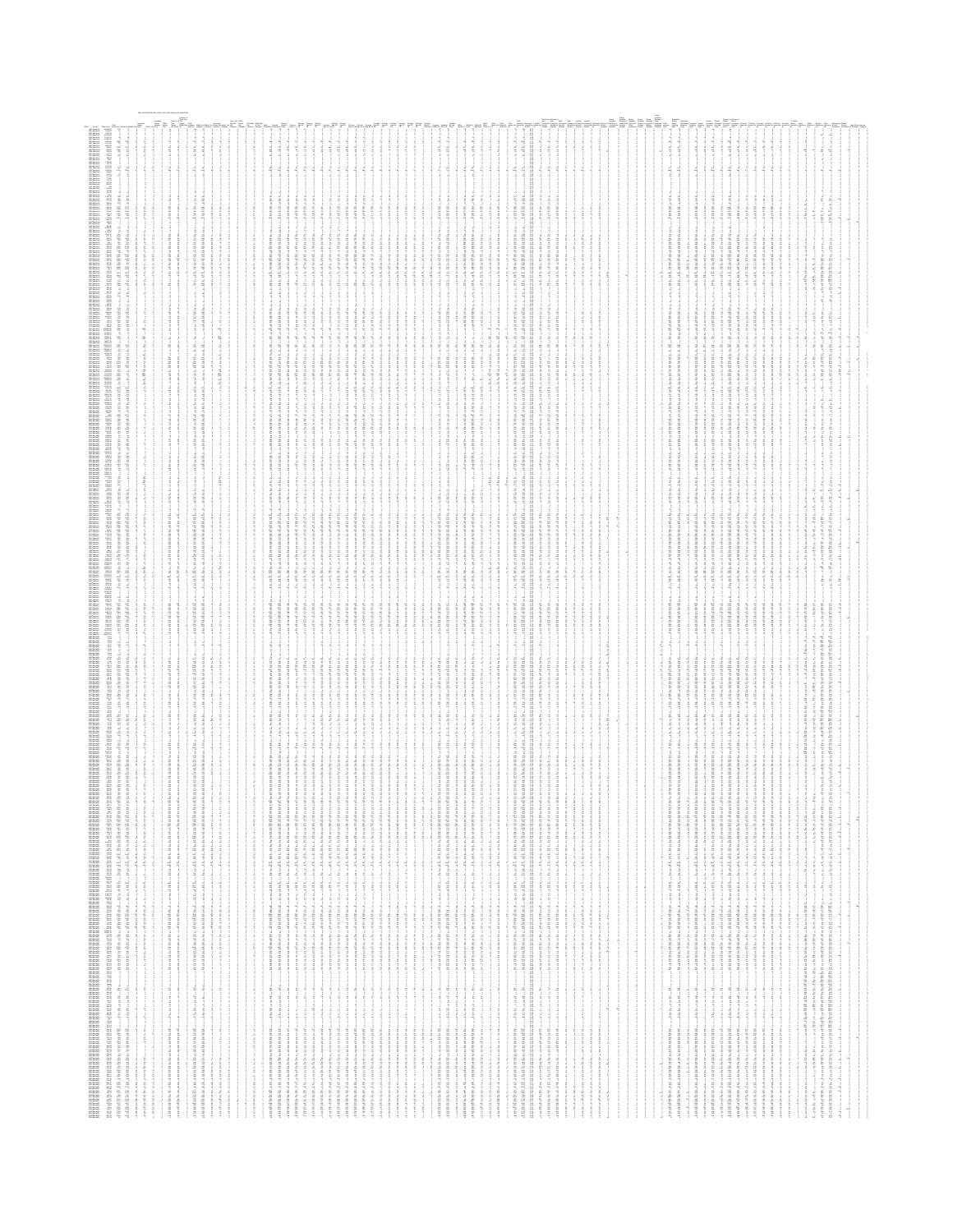|                                                                                                                        |  |                                                                                                                                                                                                                                 |                                                                                                                                                                                                              | $\Xi^-$ |                                                                                                                                                                                                                                  |                                                                                                                                                                                                                                                                                                                                                                                                                                                                                                                                                                                                                                                                                                                                                                                                                                                                                                          |                                                                                                 |  |  |                                                                                                     |                                                                                                                                                                                                        |                                                                                                                |                                                                                                                                                                                                                                  |                                                                                                                                                                                                                                                                                       |                                                                                                                 |                                                                                                                                                                                                                                      |  |           |                                                                                                                                                                                                                                        |  |                                                                                                                        |                                                                                                                                                                                                                     |                                                                                                            |                                                                                                  |                                                                                        |                                                                                                                                                                                                                                 |                                                                                                                                                                                                                                  |                                                                                               |                                                                                                      |                                                                                                                                                                                                                                  |        |                                                                                                                                                                                                                                                                                                                                                                                                                                                                                                                                                                                                                                           |  |  |                                                                                                                                                                                                                                 |                                                                                                                                                                                                                                  |                                                                                                      |                                                                                                                                                                                                                                  |                                                                                                                                                                                                                                   |  |                                                                                                                                                                                                                              |                                                                                                                                                                                                                                 |               |             |                                                                                                                                                                                                                                                                                                                                                                     |
|------------------------------------------------------------------------------------------------------------------------|--|---------------------------------------------------------------------------------------------------------------------------------------------------------------------------------------------------------------------------------|--------------------------------------------------------------------------------------------------------------------------------------------------------------------------------------------------------------|---------|----------------------------------------------------------------------------------------------------------------------------------------------------------------------------------------------------------------------------------|----------------------------------------------------------------------------------------------------------------------------------------------------------------------------------------------------------------------------------------------------------------------------------------------------------------------------------------------------------------------------------------------------------------------------------------------------------------------------------------------------------------------------------------------------------------------------------------------------------------------------------------------------------------------------------------------------------------------------------------------------------------------------------------------------------------------------------------------------------------------------------------------------------|-------------------------------------------------------------------------------------------------|--|--|-----------------------------------------------------------------------------------------------------|--------------------------------------------------------------------------------------------------------------------------------------------------------------------------------------------------------|----------------------------------------------------------------------------------------------------------------|----------------------------------------------------------------------------------------------------------------------------------------------------------------------------------------------------------------------------------|---------------------------------------------------------------------------------------------------------------------------------------------------------------------------------------------------------------------------------------------------------------------------------------|-----------------------------------------------------------------------------------------------------------------|--------------------------------------------------------------------------------------------------------------------------------------------------------------------------------------------------------------------------------------|--|-----------|----------------------------------------------------------------------------------------------------------------------------------------------------------------------------------------------------------------------------------------|--|------------------------------------------------------------------------------------------------------------------------|---------------------------------------------------------------------------------------------------------------------------------------------------------------------------------------------------------------------|------------------------------------------------------------------------------------------------------------|--------------------------------------------------------------------------------------------------|----------------------------------------------------------------------------------------|---------------------------------------------------------------------------------------------------------------------------------------------------------------------------------------------------------------------------------|----------------------------------------------------------------------------------------------------------------------------------------------------------------------------------------------------------------------------------|-----------------------------------------------------------------------------------------------|------------------------------------------------------------------------------------------------------|----------------------------------------------------------------------------------------------------------------------------------------------------------------------------------------------------------------------------------|--------|-------------------------------------------------------------------------------------------------------------------------------------------------------------------------------------------------------------------------------------------------------------------------------------------------------------------------------------------------------------------------------------------------------------------------------------------------------------------------------------------------------------------------------------------------------------------------------------------------------------------------------------------|--|--|---------------------------------------------------------------------------------------------------------------------------------------------------------------------------------------------------------------------------------|----------------------------------------------------------------------------------------------------------------------------------------------------------------------------------------------------------------------------------|------------------------------------------------------------------------------------------------------|----------------------------------------------------------------------------------------------------------------------------------------------------------------------------------------------------------------------------------|-----------------------------------------------------------------------------------------------------------------------------------------------------------------------------------------------------------------------------------|--|------------------------------------------------------------------------------------------------------------------------------------------------------------------------------------------------------------------------------|---------------------------------------------------------------------------------------------------------------------------------------------------------------------------------------------------------------------------------|---------------|-------------|---------------------------------------------------------------------------------------------------------------------------------------------------------------------------------------------------------------------------------------------------------------------------------------------------------------------------------------------------------------------|
|                                                                                                                        |  |                                                                                                                                                                                                                                 |                                                                                                                                                                                                              |         |                                                                                                                                                                                                                                  |                                                                                                                                                                                                                                                                                                                                                                                                                                                                                                                                                                                                                                                                                                                                                                                                                                                                                                          |                                                                                                 |  |  |                                                                                                     |                                                                                                                                                                                                        |                                                                                                                |                                                                                                                                                                                                                                  |                                                                                                                                                                                                                                                                                       |                                                                                                                 |                                                                                                                                                                                                                                      |  |           |                                                                                                                                                                                                                                        |  |                                                                                                                        |                                                                                                                                                                                                                     |                                                                                                            |                                                                                                  |                                                                                        |                                                                                                                                                                                                                                 |                                                                                                                                                                                                                                  |                                                                                               |                                                                                                      |                                                                                                                                                                                                                                  |        |                                                                                                                                                                                                                                                                                                                                                                                                                                                                                                                                                                                                                                           |  |  |                                                                                                                                                                                                                                 |                                                                                                                                                                                                                                  |                                                                                                      |                                                                                                                                                                                                                                  |                                                                                                                                                                                                                                   |  |                                                                                                                                                                                                                              |                                                                                                                                                                                                                                 |               |             |                                                                                                                                                                                                                                                                                                                                                                     |
|                                                                                                                        |  |                                                                                                                                                                                                                                 |                                                                                                                                                                                                              |         |                                                                                                                                                                                                                                  |                                                                                                                                                                                                                                                                                                                                                                                                                                                                                                                                                                                                                                                                                                                                                                                                                                                                                                          |                                                                                                 |  |  |                                                                                                     |                                                                                                                                                                                                        |                                                                                                                |                                                                                                                                                                                                                                  |                                                                                                                                                                                                                                                                                       |                                                                                                                 |                                                                                                                                                                                                                                      |  |           |                                                                                                                                                                                                                                        |  |                                                                                                                        |                                                                                                                                                                                                                     |                                                                                                            |                                                                                                  |                                                                                        |                                                                                                                                                                                                                                 |                                                                                                                                                                                                                                  |                                                                                               |                                                                                                      |                                                                                                                                                                                                                                  |        |                                                                                                                                                                                                                                                                                                                                                                                                                                                                                                                                                                                                                                           |  |  |                                                                                                                                                                                                                                 |                                                                                                                                                                                                                                  |                                                                                                      |                                                                                                                                                                                                                                  |                                                                                                                                                                                                                                   |  |                                                                                                                                                                                                                              |                                                                                                                                                                                                                                 |               |             |                                                                                                                                                                                                                                                                                                                                                                     |
|                                                                                                                        |  |                                                                                                                                                                                                                                 |                                                                                                                                                                                                              |         |                                                                                                                                                                                                                                  |                                                                                                                                                                                                                                                                                                                                                                                                                                                                                                                                                                                                                                                                                                                                                                                                                                                                                                          |                                                                                                 |  |  |                                                                                                     |                                                                                                                                                                                                        |                                                                                                                |                                                                                                                                                                                                                                  |                                                                                                                                                                                                                                                                                       |                                                                                                                 |                                                                                                                                                                                                                                      |  |           |                                                                                                                                                                                                                                        |  |                                                                                                                        |                                                                                                                                                                                                                     |                                                                                                            |                                                                                                  |                                                                                        |                                                                                                                                                                                                                                 |                                                                                                                                                                                                                                  |                                                                                               |                                                                                                      |                                                                                                                                                                                                                                  |        |                                                                                                                                                                                                                                                                                                                                                                                                                                                                                                                                                                                                                                           |  |  |                                                                                                                                                                                                                                 |                                                                                                                                                                                                                                  |                                                                                                      |                                                                                                                                                                                                                                  |                                                                                                                                                                                                                                   |  |                                                                                                                                                                                                                              |                                                                                                                                                                                                                                 |               |             |                                                                                                                                                                                                                                                                                                                                                                     |
|                                                                                                                        |  |                                                                                                                                                                                                                                 |                                                                                                                                                                                                              |         |                                                                                                                                                                                                                                  |                                                                                                                                                                                                                                                                                                                                                                                                                                                                                                                                                                                                                                                                                                                                                                                                                                                                                                          |                                                                                                 |  |  |                                                                                                     |                                                                                                                                                                                                        |                                                                                                                |                                                                                                                                                                                                                                  |                                                                                                                                                                                                                                                                                       |                                                                                                                 |                                                                                                                                                                                                                                      |  |           |                                                                                                                                                                                                                                        |  |                                                                                                                        |                                                                                                                                                                                                                     |                                                                                                            |                                                                                                  |                                                                                        |                                                                                                                                                                                                                                 |                                                                                                                                                                                                                                  |                                                                                               |                                                                                                      |                                                                                                                                                                                                                                  |        |                                                                                                                                                                                                                                                                                                                                                                                                                                                                                                                                                                                                                                           |  |  |                                                                                                                                                                                                                                 |                                                                                                                                                                                                                                  |                                                                                                      |                                                                                                                                                                                                                                  |                                                                                                                                                                                                                                   |  |                                                                                                                                                                                                                              |                                                                                                                                                                                                                                 |               |             |                                                                                                                                                                                                                                                                                                                                                                     |
|                                                                                                                        |  |                                                                                                                                                                                                                                 |                                                                                                                                                                                                              |         |                                                                                                                                                                                                                                  |                                                                                                                                                                                                                                                                                                                                                                                                                                                                                                                                                                                                                                                                                                                                                                                                                                                                                                          |                                                                                                 |  |  |                                                                                                     |                                                                                                                                                                                                        |                                                                                                                |                                                                                                                                                                                                                                  |                                                                                                                                                                                                                                                                                       |                                                                                                                 |                                                                                                                                                                                                                                      |  |           |                                                                                                                                                                                                                                        |  |                                                                                                                        |                                                                                                                                                                                                                     |                                                                                                            |                                                                                                  |                                                                                        |                                                                                                                                                                                                                                 |                                                                                                                                                                                                                                  |                                                                                               |                                                                                                      |                                                                                                                                                                                                                                  |        |                                                                                                                                                                                                                                                                                                                                                                                                                                                                                                                                                                                                                                           |  |  |                                                                                                                                                                                                                                 |                                                                                                                                                                                                                                  |                                                                                                      |                                                                                                                                                                                                                                  |                                                                                                                                                                                                                                   |  |                                                                                                                                                                                                                              |                                                                                                                                                                                                                                 |               |             |                                                                                                                                                                                                                                                                                                                                                                     |
|                                                                                                                        |  |                                                                                                                                                                                                                                 |                                                                                                                                                                                                              |         |                                                                                                                                                                                                                                  |                                                                                                                                                                                                                                                                                                                                                                                                                                                                                                                                                                                                                                                                                                                                                                                                                                                                                                          |                                                                                                 |  |  |                                                                                                     |                                                                                                                                                                                                        |                                                                                                                |                                                                                                                                                                                                                                  |                                                                                                                                                                                                                                                                                       |                                                                                                                 |                                                                                                                                                                                                                                      |  |           |                                                                                                                                                                                                                                        |  |                                                                                                                        |                                                                                                                                                                                                                     |                                                                                                            |                                                                                                  |                                                                                        |                                                                                                                                                                                                                                 |                                                                                                                                                                                                                                  |                                                                                               |                                                                                                      |                                                                                                                                                                                                                                  |        |                                                                                                                                                                                                                                                                                                                                                                                                                                                                                                                                                                                                                                           |  |  |                                                                                                                                                                                                                                 |                                                                                                                                                                                                                                  |                                                                                                      |                                                                                                                                                                                                                                  |                                                                                                                                                                                                                                   |  |                                                                                                                                                                                                                              |                                                                                                                                                                                                                                 |               |             |                                                                                                                                                                                                                                                                                                                                                                     |
|                                                                                                                        |  |                                                                                                                                                                                                                                 |                                                                                                                                                                                                              |         |                                                                                                                                                                                                                                  |                                                                                                                                                                                                                                                                                                                                                                                                                                                                                                                                                                                                                                                                                                                                                                                                                                                                                                          |                                                                                                 |  |  |                                                                                                     |                                                                                                                                                                                                        |                                                                                                                |                                                                                                                                                                                                                                  |                                                                                                                                                                                                                                                                                       |                                                                                                                 |                                                                                                                                                                                                                                      |  |           |                                                                                                                                                                                                                                        |  |                                                                                                                        |                                                                                                                                                                                                                     |                                                                                                            |                                                                                                  |                                                                                        |                                                                                                                                                                                                                                 |                                                                                                                                                                                                                                  |                                                                                               |                                                                                                      |                                                                                                                                                                                                                                  |        |                                                                                                                                                                                                                                                                                                                                                                                                                                                                                                                                                                                                                                           |  |  |                                                                                                                                                                                                                                 |                                                                                                                                                                                                                                  |                                                                                                      |                                                                                                                                                                                                                                  |                                                                                                                                                                                                                                   |  |                                                                                                                                                                                                                              |                                                                                                                                                                                                                                 |               |             |                                                                                                                                                                                                                                                                                                                                                                     |
|                                                                                                                        |  |                                                                                                                                                                                                                                 |                                                                                                                                                                                                              |         |                                                                                                                                                                                                                                  |                                                                                                                                                                                                                                                                                                                                                                                                                                                                                                                                                                                                                                                                                                                                                                                                                                                                                                          |                                                                                                 |  |  |                                                                                                     |                                                                                                                                                                                                        |                                                                                                                |                                                                                                                                                                                                                                  |                                                                                                                                                                                                                                                                                       |                                                                                                                 |                                                                                                                                                                                                                                      |  |           |                                                                                                                                                                                                                                        |  |                                                                                                                        |                                                                                                                                                                                                                     |                                                                                                            |                                                                                                  |                                                                                        |                                                                                                                                                                                                                                 |                                                                                                                                                                                                                                  |                                                                                               |                                                                                                      |                                                                                                                                                                                                                                  |        |                                                                                                                                                                                                                                                                                                                                                                                                                                                                                                                                                                                                                                           |  |  |                                                                                                                                                                                                                                 |                                                                                                                                                                                                                                  |                                                                                                      |                                                                                                                                                                                                                                  |                                                                                                                                                                                                                                   |  |                                                                                                                                                                                                                              |                                                                                                                                                                                                                                 |               |             |                                                                                                                                                                                                                                                                                                                                                                     |
|                                                                                                                        |  |                                                                                                                                                                                                                                 |                                                                                                                                                                                                              |         |                                                                                                                                                                                                                                  |                                                                                                                                                                                                                                                                                                                                                                                                                                                                                                                                                                                                                                                                                                                                                                                                                                                                                                          |                                                                                                 |  |  |                                                                                                     |                                                                                                                                                                                                        |                                                                                                                |                                                                                                                                                                                                                                  |                                                                                                                                                                                                                                                                                       |                                                                                                                 |                                                                                                                                                                                                                                      |  |           |                                                                                                                                                                                                                                        |  |                                                                                                                        |                                                                                                                                                                                                                     |                                                                                                            |                                                                                                  |                                                                                        |                                                                                                                                                                                                                                 |                                                                                                                                                                                                                                  |                                                                                               |                                                                                                      |                                                                                                                                                                                                                                  |        |                                                                                                                                                                                                                                                                                                                                                                                                                                                                                                                                                                                                                                           |  |  |                                                                                                                                                                                                                                 |                                                                                                                                                                                                                                  |                                                                                                      |                                                                                                                                                                                                                                  |                                                                                                                                                                                                                                   |  |                                                                                                                                                                                                                              |                                                                                                                                                                                                                                 |               |             |                                                                                                                                                                                                                                                                                                                                                                     |
|                                                                                                                        |  |                                                                                                                                                                                                                                 |                                                                                                                                                                                                              |         |                                                                                                                                                                                                                                  |                                                                                                                                                                                                                                                                                                                                                                                                                                                                                                                                                                                                                                                                                                                                                                                                                                                                                                          |                                                                                                 |  |  |                                                                                                     |                                                                                                                                                                                                        |                                                                                                                |                                                                                                                                                                                                                                  |                                                                                                                                                                                                                                                                                       |                                                                                                                 |                                                                                                                                                                                                                                      |  |           |                                                                                                                                                                                                                                        |  |                                                                                                                        |                                                                                                                                                                                                                     |                                                                                                            |                                                                                                  |                                                                                        |                                                                                                                                                                                                                                 |                                                                                                                                                                                                                                  |                                                                                               |                                                                                                      |                                                                                                                                                                                                                                  |        |                                                                                                                                                                                                                                                                                                                                                                                                                                                                                                                                                                                                                                           |  |  |                                                                                                                                                                                                                                 |                                                                                                                                                                                                                                  |                                                                                                      |                                                                                                                                                                                                                                  |                                                                                                                                                                                                                                   |  |                                                                                                                                                                                                                              |                                                                                                                                                                                                                                 |               |             |                                                                                                                                                                                                                                                                                                                                                                     |
|                                                                                                                        |  |                                                                                                                                                                                                                                 |                                                                                                                                                                                                              |         |                                                                                                                                                                                                                                  |                                                                                                                                                                                                                                                                                                                                                                                                                                                                                                                                                                                                                                                                                                                                                                                                                                                                                                          |                                                                                                 |  |  |                                                                                                     |                                                                                                                                                                                                        |                                                                                                                |                                                                                                                                                                                                                                  |                                                                                                                                                                                                                                                                                       |                                                                                                                 |                                                                                                                                                                                                                                      |  |           |                                                                                                                                                                                                                                        |  |                                                                                                                        |                                                                                                                                                                                                                     |                                                                                                            |                                                                                                  |                                                                                        |                                                                                                                                                                                                                                 |                                                                                                                                                                                                                                  |                                                                                               |                                                                                                      |                                                                                                                                                                                                                                  |        |                                                                                                                                                                                                                                                                                                                                                                                                                                                                                                                                                                                                                                           |  |  |                                                                                                                                                                                                                                 |                                                                                                                                                                                                                                  |                                                                                                      |                                                                                                                                                                                                                                  |                                                                                                                                                                                                                                   |  |                                                                                                                                                                                                                              |                                                                                                                                                                                                                                 |               |             |                                                                                                                                                                                                                                                                                                                                                                     |
|                                                                                                                        |  |                                                                                                                                                                                                                                 |                                                                                                                                                                                                              |         |                                                                                                                                                                                                                                  |                                                                                                                                                                                                                                                                                                                                                                                                                                                                                                                                                                                                                                                                                                                                                                                                                                                                                                          |                                                                                                 |  |  |                                                                                                     |                                                                                                                                                                                                        |                                                                                                                |                                                                                                                                                                                                                                  |                                                                                                                                                                                                                                                                                       |                                                                                                                 |                                                                                                                                                                                                                                      |  |           |                                                                                                                                                                                                                                        |  |                                                                                                                        |                                                                                                                                                                                                                     |                                                                                                            |                                                                                                  |                                                                                        |                                                                                                                                                                                                                                 |                                                                                                                                                                                                                                  |                                                                                               |                                                                                                      |                                                                                                                                                                                                                                  |        |                                                                                                                                                                                                                                                                                                                                                                                                                                                                                                                                                                                                                                           |  |  |                                                                                                                                                                                                                                 |                                                                                                                                                                                                                                  |                                                                                                      |                                                                                                                                                                                                                                  |                                                                                                                                                                                                                                   |  |                                                                                                                                                                                                                              |                                                                                                                                                                                                                                 |               |             |                                                                                                                                                                                                                                                                                                                                                                     |
|                                                                                                                        |  |                                                                                                                                                                                                                                 |                                                                                                                                                                                                              |         |                                                                                                                                                                                                                                  |                                                                                                                                                                                                                                                                                                                                                                                                                                                                                                                                                                                                                                                                                                                                                                                                                                                                                                          |                                                                                                 |  |  |                                                                                                     |                                                                                                                                                                                                        |                                                                                                                |                                                                                                                                                                                                                                  |                                                                                                                                                                                                                                                                                       |                                                                                                                 |                                                                                                                                                                                                                                      |  |           |                                                                                                                                                                                                                                        |  |                                                                                                                        |                                                                                                                                                                                                                     |                                                                                                            |                                                                                                  |                                                                                        |                                                                                                                                                                                                                                 |                                                                                                                                                                                                                                  |                                                                                               |                                                                                                      |                                                                                                                                                                                                                                  |        |                                                                                                                                                                                                                                                                                                                                                                                                                                                                                                                                                                                                                                           |  |  |                                                                                                                                                                                                                                 |                                                                                                                                                                                                                                  |                                                                                                      |                                                                                                                                                                                                                                  |                                                                                                                                                                                                                                   |  |                                                                                                                                                                                                                              |                                                                                                                                                                                                                                 |               |             |                                                                                                                                                                                                                                                                                                                                                                     |
|                                                                                                                        |  |                                                                                                                                                                                                                                 |                                                                                                                                                                                                              |         |                                                                                                                                                                                                                                  |                                                                                                                                                                                                                                                                                                                                                                                                                                                                                                                                                                                                                                                                                                                                                                                                                                                                                                          |                                                                                                 |  |  |                                                                                                     |                                                                                                                                                                                                        |                                                                                                                |                                                                                                                                                                                                                                  |                                                                                                                                                                                                                                                                                       |                                                                                                                 |                                                                                                                                                                                                                                      |  |           |                                                                                                                                                                                                                                        |  |                                                                                                                        |                                                                                                                                                                                                                     |                                                                                                            |                                                                                                  |                                                                                        |                                                                                                                                                                                                                                 |                                                                                                                                                                                                                                  |                                                                                               |                                                                                                      |                                                                                                                                                                                                                                  |        |                                                                                                                                                                                                                                                                                                                                                                                                                                                                                                                                                                                                                                           |  |  |                                                                                                                                                                                                                                 |                                                                                                                                                                                                                                  |                                                                                                      |                                                                                                                                                                                                                                  |                                                                                                                                                                                                                                   |  |                                                                                                                                                                                                                              |                                                                                                                                                                                                                                 |               |             |                                                                                                                                                                                                                                                                                                                                                                     |
|                                                                                                                        |  |                                                                                                                                                                                                                                 |                                                                                                                                                                                                              |         |                                                                                                                                                                                                                                  |                                                                                                                                                                                                                                                                                                                                                                                                                                                                                                                                                                                                                                                                                                                                                                                                                                                                                                          |                                                                                                 |  |  |                                                                                                     |                                                                                                                                                                                                        |                                                                                                                |                                                                                                                                                                                                                                  |                                                                                                                                                                                                                                                                                       |                                                                                                                 |                                                                                                                                                                                                                                      |  |           |                                                                                                                                                                                                                                        |  |                                                                                                                        |                                                                                                                                                                                                                     |                                                                                                            |                                                                                                  |                                                                                        |                                                                                                                                                                                                                                 |                                                                                                                                                                                                                                  |                                                                                               |                                                                                                      |                                                                                                                                                                                                                                  |        |                                                                                                                                                                                                                                                                                                                                                                                                                                                                                                                                                                                                                                           |  |  |                                                                                                                                                                                                                                 |                                                                                                                                                                                                                                  |                                                                                                      |                                                                                                                                                                                                                                  |                                                                                                                                                                                                                                   |  |                                                                                                                                                                                                                              |                                                                                                                                                                                                                                 |               |             |                                                                                                                                                                                                                                                                                                                                                                     |
|                                                                                                                        |  |                                                                                                                                                                                                                                 |                                                                                                                                                                                                              |         |                                                                                                                                                                                                                                  |                                                                                                                                                                                                                                                                                                                                                                                                                                                                                                                                                                                                                                                                                                                                                                                                                                                                                                          |                                                                                                 |  |  |                                                                                                     |                                                                                                                                                                                                        |                                                                                                                |                                                                                                                                                                                                                                  |                                                                                                                                                                                                                                                                                       |                                                                                                                 |                                                                                                                                                                                                                                      |  |           |                                                                                                                                                                                                                                        |  |                                                                                                                        |                                                                                                                                                                                                                     |                                                                                                            |                                                                                                  |                                                                                        |                                                                                                                                                                                                                                 |                                                                                                                                                                                                                                  |                                                                                               |                                                                                                      |                                                                                                                                                                                                                                  |        |                                                                                                                                                                                                                                                                                                                                                                                                                                                                                                                                                                                                                                           |  |  |                                                                                                                                                                                                                                 |                                                                                                                                                                                                                                  |                                                                                                      |                                                                                                                                                                                                                                  |                                                                                                                                                                                                                                   |  |                                                                                                                                                                                                                              |                                                                                                                                                                                                                                 |               |             |                                                                                                                                                                                                                                                                                                                                                                     |
|                                                                                                                        |  |                                                                                                                                                                                                                                 |                                                                                                                                                                                                              |         |                                                                                                                                                                                                                                  |                                                                                                                                                                                                                                                                                                                                                                                                                                                                                                                                                                                                                                                                                                                                                                                                                                                                                                          |                                                                                                 |  |  |                                                                                                     |                                                                                                                                                                                                        |                                                                                                                |                                                                                                                                                                                                                                  |                                                                                                                                                                                                                                                                                       |                                                                                                                 |                                                                                                                                                                                                                                      |  |           |                                                                                                                                                                                                                                        |  |                                                                                                                        |                                                                                                                                                                                                                     |                                                                                                            |                                                                                                  |                                                                                        |                                                                                                                                                                                                                                 |                                                                                                                                                                                                                                  |                                                                                               |                                                                                                      |                                                                                                                                                                                                                                  |        |                                                                                                                                                                                                                                                                                                                                                                                                                                                                                                                                                                                                                                           |  |  |                                                                                                                                                                                                                                 |                                                                                                                                                                                                                                  |                                                                                                      |                                                                                                                                                                                                                                  |                                                                                                                                                                                                                                   |  |                                                                                                                                                                                                                              |                                                                                                                                                                                                                                 |               |             |                                                                                                                                                                                                                                                                                                                                                                     |
|                                                                                                                        |  |                                                                                                                                                                                                                                 |                                                                                                                                                                                                              |         |                                                                                                                                                                                                                                  |                                                                                                                                                                                                                                                                                                                                                                                                                                                                                                                                                                                                                                                                                                                                                                                                                                                                                                          |                                                                                                 |  |  |                                                                                                     |                                                                                                                                                                                                        |                                                                                                                |                                                                                                                                                                                                                                  |                                                                                                                                                                                                                                                                                       |                                                                                                                 |                                                                                                                                                                                                                                      |  | diameters |                                                                                                                                                                                                                                        |  |                                                                                                                        |                                                                                                                                                                                                                     |                                                                                                            |                                                                                                  |                                                                                        |                                                                                                                                                                                                                                 |                                                                                                                                                                                                                                  | 11.13.1.33.1.1.33.1                                                                           |                                                                                                      |                                                                                                                                                                                                                                  |        |                                                                                                                                                                                                                                                                                                                                                                                                                                                                                                                                                                                                                                           |  |  |                                                                                                                                                                                                                                 |                                                                                                                                                                                                                                  |                                                                                                      |                                                                                                                                                                                                                                  | <b>Mariality</b> alternati                                                                                                                                                                                                        |  |                                                                                                                                                                                                                              |                                                                                                                                                                                                                                 |               |             |                                                                                                                                                                                                                                                                                                                                                                     |
|                                                                                                                        |  |                                                                                                                                                                                                                                 |                                                                                                                                                                                                              |         |                                                                                                                                                                                                                                  |                                                                                                                                                                                                                                                                                                                                                                                                                                                                                                                                                                                                                                                                                                                                                                                                                                                                                                          |                                                                                                 |  |  |                                                                                                     |                                                                                                                                                                                                        |                                                                                                                |                                                                                                                                                                                                                                  |                                                                                                                                                                                                                                                                                       |                                                                                                                 |                                                                                                                                                                                                                                      |  |           |                                                                                                                                                                                                                                        |  |                                                                                                                        |                                                                                                                                                                                                                     |                                                                                                            |                                                                                                  |                                                                                        |                                                                                                                                                                                                                                 |                                                                                                                                                                                                                                  |                                                                                               |                                                                                                      |                                                                                                                                                                                                                                  |        |                                                                                                                                                                                                                                                                                                                                                                                                                                                                                                                                                                                                                                           |  |  |                                                                                                                                                                                                                                 |                                                                                                                                                                                                                                  |                                                                                                      |                                                                                                                                                                                                                                  |                                                                                                                                                                                                                                   |  |                                                                                                                                                                                                                              |                                                                                                                                                                                                                                 |               | Accordings. | $\begin{picture}(20,20) \put(0,0){\vector(1,0){100}} \put(15,0){\vector(1,0){100}} \put(15,0){\vector(1,0){100}} \put(15,0){\vector(1,0){100}} \put(15,0){\vector(1,0){100}} \put(15,0){\vector(1,0){100}} \put(15,0){\vector(1,0){100}} \put(15,0){\vector(1,0){100}} \put(15,0){\vector(1,0){100}} \put(15,0){\vector(1,0){100}} \put(15,0){\vector(1,0){100}} \$ |
|                                                                                                                        |  |                                                                                                                                                                                                                                 |                                                                                                                                                                                                              |         |                                                                                                                                                                                                                                  |                                                                                                                                                                                                                                                                                                                                                                                                                                                                                                                                                                                                                                                                                                                                                                                                                                                                                                          |                                                                                                 |  |  |                                                                                                     |                                                                                                                                                                                                        |                                                                                                                |                                                                                                                                                                                                                                  |                                                                                                                                                                                                                                                                                       |                                                                                                                 |                                                                                                                                                                                                                                      |  |           |                                                                                                                                                                                                                                        |  |                                                                                                                        |                                                                                                                                                                                                                     |                                                                                                            |                                                                                                  |                                                                                        |                                                                                                                                                                                                                                 |                                                                                                                                                                                                                                  |                                                                                               |                                                                                                      |                                                                                                                                                                                                                                  |        |                                                                                                                                                                                                                                                                                                                                                                                                                                                                                                                                                                                                                                           |  |  |                                                                                                                                                                                                                                 |                                                                                                                                                                                                                                  |                                                                                                      |                                                                                                                                                                                                                                  |                                                                                                                                                                                                                                   |  |                                                                                                                                                                                                                              |                                                                                                                                                                                                                                 | $\frac{1}{2}$ |             |                                                                                                                                                                                                                                                                                                                                                                     |
|                                                                                                                        |  |                                                                                                                                                                                                                                 |                                                                                                                                                                                                              |         |                                                                                                                                                                                                                                  |                                                                                                                                                                                                                                                                                                                                                                                                                                                                                                                                                                                                                                                                                                                                                                                                                                                                                                          | discussion discussion compared to discussion of the filtration construction of betheld the term |  |  |                                                                                                     |                                                                                                                                                                                                        |                                                                                                                |                                                                                                                                                                                                                                  |                                                                                                                                                                                                                                                                                       |                                                                                                                 |                                                                                                                                                                                                                                      |  |           |                                                                                                                                                                                                                                        |  |                                                                                                                        |                                                                                                                                                                                                                     |                                                                                                            |                                                                                                  |                                                                                        |                                                                                                                                                                                                                                 |                                                                                                                                                                                                                                  | a different in a discussion of the announcement of the different field that a constitution of |                                                                                                      |                                                                                                                                                                                                                                  |        | $\begin{minipage}{0.9\linewidth} \includegraphics[width=0.9\linewidth]{10.9\linewidth} \includegraphics[width=0.9\linewidth]{10.9\linewidth} \includegraphics[width=0.9\linewidth]{10.9\linewidth} \includegraphics[width=0.9\linewidth]{10.9\linewidth} \includegraphics[width=0.9\linewidth]{10.9\linewidth} \includegraphics[width=0.9\linewidth]{10.9\linewidth} \includegraphics[width=0.9\linewidth]{10.9\linewidth} \includegraphics[width=0.9\linewidth]{10.9\linewidth} \includegraphics[width=0.9\linewidth]{10.9\linewidth} \includegraphics[width=0.9\linewidth]{10.9\linewidth} \includegraphics[width=0.9\linewidth]{10.9\$ |  |  |                                                                                                                                                                                                                                 |                                                                                                                                                                                                                                  |                                                                                                      |                                                                                                                                                                                                                                  |                                                                                                                                                                                                                                   |  |                                                                                                                                                                                                                              |                                                                                                                                                                                                                                 | $\ddotsc$     |             |                                                                                                                                                                                                                                                                                                                                                                     |
|                                                                                                                        |  |                                                                                                                                                                                                                                 |                                                                                                                                                                                                              |         |                                                                                                                                                                                                                                  |                                                                                                                                                                                                                                                                                                                                                                                                                                                                                                                                                                                                                                                                                                                                                                                                                                                                                                          |                                                                                                 |  |  |                                                                                                     |                                                                                                                                                                                                        |                                                                                                                |                                                                                                                                                                                                                                  |                                                                                                                                                                                                                                                                                       |                                                                                                                 |                                                                                                                                                                                                                                      |  |           |                                                                                                                                                                                                                                        |  |                                                                                                                        |                                                                                                                                                                                                                     |                                                                                                            |                                                                                                  |                                                                                        |                                                                                                                                                                                                                                 |                                                                                                                                                                                                                                  |                                                                                               |                                                                                                      |                                                                                                                                                                                                                                  |        |                                                                                                                                                                                                                                                                                                                                                                                                                                                                                                                                                                                                                                           |  |  |                                                                                                                                                                                                                                 |                                                                                                                                                                                                                                  |                                                                                                      |                                                                                                                                                                                                                                  |                                                                                                                                                                                                                                   |  |                                                                                                                                                                                                                              |                                                                                                                                                                                                                                 |               |             |                                                                                                                                                                                                                                                                                                                                                                     |
| <u>N 1999 NA PARTI NA PARTI NA PARTI NA PARTI NA PARTI NA PARTI NA PARTI NA PARTI NA PARTI NA PARTIMA NA PARTIMA N</u> |  | atti itti katalaisi kalkaan inditaasina asia aloosa minimatira ilma kalkailina asia kana aloo ka kalka ilmatti<br>Aditalikki an muudu ommulkaan on asia aloo asia muudu olisalud lihaasaasina asia alaa laha asia muudu lihitti | amuun mennemaan maanoonnon maan aanoonnon monnon maanaan hulkula maanaan maanaan maanaan maanaan.<br>antaraha maanatamaan maanaan maanaan monnon monnon maanaan maanaan maanaan maanaan maanaan maanaan maan |         | an munistra munisipale antificació e escrevale a castro de munistrativa de continua de alta de munistra de mun<br>and different community and a construction and community at the file of a construction of a factor to a finite | $\label{def:2} The definition of the non-convex functions of the two-convex functions of the two-convex functions of the two-convex functions of the two-convex functions of the two-convex functions of the two-convex functions of the two-convex functions of the two-convex functions of the two-convex functions of the two-convex functions of the two-convex functions of the two-convex functions of the two-convex functions of the two-convex functions of the two-convex functions of the two-convex functions of the two-convex functions of the two-convex functions of the two-convex functions of the two-convex functions of the two-convex functions of the two-convex functions of the two-convex functions of the two-convex functions of the two-convex functions of the two-convex functions of the two-convex functions of the two-convex functions of the two-invex functions of$ |                                                                                                 |  |  | annininia aramana maramana mara a maramana a maramana a maramana a maramana a maramana a maramana a | artifikiikata, maanihaaninnan, aasissasta absookan mannihaas ihidhiba soomis, absollattan sannuttiin<br>attiintista katutusamman osaassa soomaa soomaanin mannihaasahudhaa soomissa kastista kunnittin | aliti di tana da da sa mana da ancesa ana na ana mana dina matu da da cina dha da sha listic da ballacida di d | alitika haraka mahammuni kasa kesasa sebesar munim kalendari katika melan kasusan di sebagai kalendari kasusan<br>Alitika haraka mengharam mahammahasa kerasa sebesar mengharaka di kasusan di kasusan di kasusan di kasusan din | $\label{prop:main} and data are not not to a nontrivial nontrivial nontrivial and nontrivial nontrivial and a finite nontrivial nontrivial and a finite number of nontrivial and a finite number of nontrivial and a finite number of nontrivial and a finite number of nontrivial.}$ | , and an anti-an and a communities are the construction of the annual and a constant of the about the first and | allitiikida koolistaa on metaamaa kaasaa aasaa maanimaa tunaksa hallitaa saasti aasaa kaasaa kirjaanimaa tuna<br>Allitiikida kaasti aasaa maanimaa kaasaa aasaa maanimaa tunaksa hallitiika aasaa kaasaa laha kaasimaa tunaksa<br>Al |  |           | .<br>2008 - Paris Antonio Barbari (Paris Antonio Paris Antonio Antonio Antonio Antonio Antonio Antonio Antonio Ant<br>2008 - Paris Antonio Antonio Antonio Antonio Antonio Antonio Antonio Antonio Antonio Antonio Antonio Antonio<br> |  | $\label{eq:1.1} There are a non-trivial automorphism, and the non-trivial automorphism is a non-trivial automorphism.$ | สสสสิปกลีร์เรียงเงินแนวกันไปเป็นออกจากสองออกจากกายเบาะและและแนวกันอย่างออกจากจากออกจากกายคอกจากเบาะแ<br>สสมสีไปสามารถเบาะแนวกันเบาะแนวออกจากจากจากจากจากเป็นสมสีเป็นประโยชนิยาสองออกจากจากออกจากเป็นประโยชนิยาสนิยา | antificum a traumum antificum a constrains discussion din ultratica distinguism constructivity distinguism | antifitititi adalmeitmama emana assasa anni innon sonum munduntu dan anti ana alla matalama anni | anditudinanamuunamuun maadokaankakaaa ahummamana katiniin aaaankakaa amilkanamuunamuun | atti iti ilita alaan in india maan in ilitaa aan aan aan aan in india aan in india aan in ilitaa aan in india<br>Kanaan in india maanaan in india maan in india maan in india aan in india aan india maan in india maan india m | . The statistic contribution is a statistical contract to the constraint of the first statistic contract and in<br>The statistic contract of the statistic contract of the statistic contract of the statistic contract of the s |                                                                                               | anna dh'iomraidheachann ann an ceann-ann an ceann an chomain a dhuidheachan aig an dùthchean an cuid | ama dun orto Gadunia ana dun hassassa sa sa continuum da ana dia ana din din dassa anno a da a sa dia baratuni<br>Annalitin disponenti ma anno municipale a sa sa sa sa sa sa controllation di sa dia ana ana sa sa sa sa sa san | 1.1111 |                                                                                                                                                                                                                                                                                                                                                                                                                                                                                                                                                                                                                                           |  |  | տներեն առանձներ համար հայտնաբար հայտնելության համար հայտնաբար հայտների հայտնաբար հայտարական համար հայտնական հ<br>Հայկական հայտարարական հայտնելության հայտների հայտնաբար հայտնաբար հայտնաբար հայտնել հայտնել հայտնաբար հայտնաբար | անքարտներ համաձագործների մասնական համաձագործ համաձագործ համաձագործ համաձագործ համաձագործ համաձագործ մասնական մ<br>Հայաստանի համաձագործների համաձագործ համաձագործ համաձագործ մասնական համաձագործ համաձագործների մասնական համաձագո | anthainm an an an amathain, a ann am an aisean an amathain an ainm an an am an am an an an an amainm | อยู่ให้เป็นไปออกซ์ให้เกิดขนับใน และเล่น และ ออกไม่เล่น และ กลุ่มเกิดขนับอีกไม่เกิดขึ้นเป็นเกิด และ และ และ เล่<br>เล่นเกิดขนาดเล่น เล่นเกิดขนาดเล่นเกิดขนาดเล่น และ และ และ กลุ่มเกิดขนาดเล่นเกิดขนาดเล่น และ และ และ และ และเล่ | .<br>Additibilitation control community control control of the control of the control of the control of the control of the control of the control of the control of the control of the control of the control of the control of t |  | soo alusuusee saanaan maan aan maan maan maan maan sanaan maan ah sitteemaan maan maan maan maan maan maan<br>Kanaan man Gerara lihitto Kenni lahtillihtti hiitti lihitti hiittä hinti hanni liheen nitteesti kenesta maan m | satio atlon seisa ditlotti massa ditursalluntud lailustis atluntillustu atlibsessa tessessa massa sessistemat<br>Adialahta konsultitation madallallud tuttud ditlotti adialahta dialukka seissa seissa sekara tahan ditlotti di |               |             |                                                                                                                                                                                                                                                                                                                                                                     |